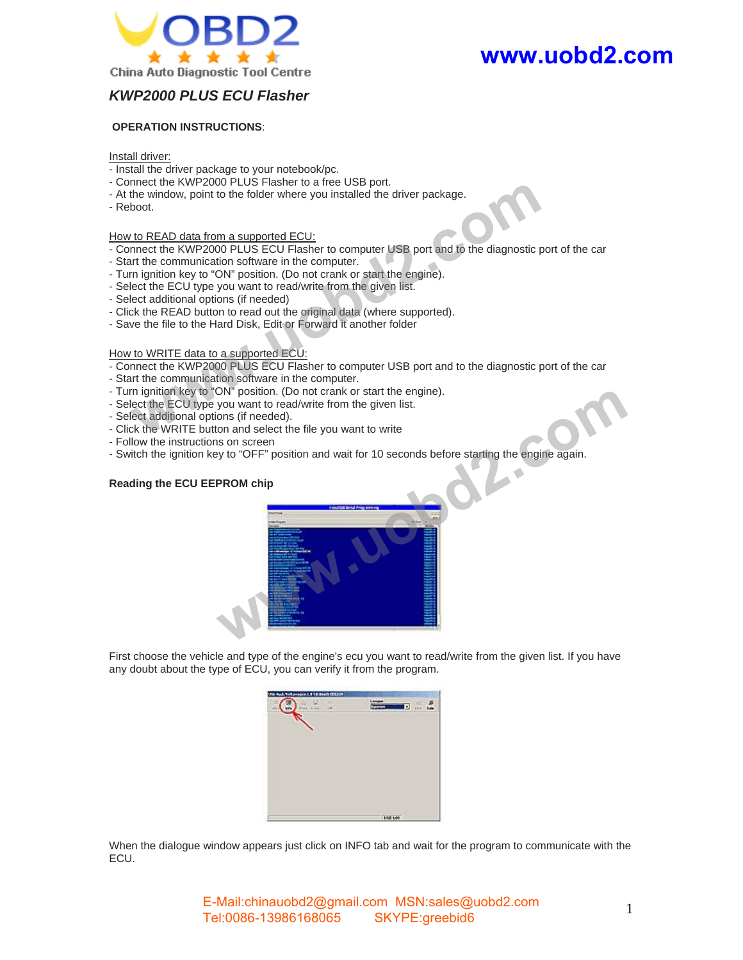

## *KWP2000 PLUS ECU Flasher*

### **OPERATION INSTRUCTIONS**:

Install driver:

- Install the driver package to your notebook/pc.
- Connect the KWP2000 PLUS Flasher to a free USB port.
- At the window, point to the folder where you installed the driver package.
- Reboot.

### How to READ data from a supported ECU:

- Connect the KWP2000 PLUS ECU Flasher to computer USB port and to the diagnostic port of the car
- Start the communication software in the computer.
- Turn ignition key to "ON" position. (Do not crank or start the engine).
- Select the ECU type you want to read/write from the given list.
- Select additional options (if needed)
- Click the READ button to read out the original data (where supported).
- Save the file to the Hard Disk, Edit or Forward it another folder

### How to WRITE data to a supported ECU:

- Connect the KWP2000 PLUS ECU Flasher to computer USB port and to the diagnostic port of the car
- Start the communication software in the computer.
- Turn ignition key to "ON" position. (Do not crank or start the engine).
- Select the ECU type you want to read/write from the given list.
- Select additional options (if needed).
- Click the WRITE button and select the file you want to write
- Follow the instructions on screen
- Switch the ignition key to "OFF" position and wait for 10 seconds before starting the engine again.

### **Reading the ECU EEPROM chip**



First choose the vehicle and type of the engine's ecu you want to read/write from the given list. If you have any doubt about the type of ECU, you can verify it from the program.



When the dialogue window appears just click on INFO tab and wait for the program to communicate with the ECU.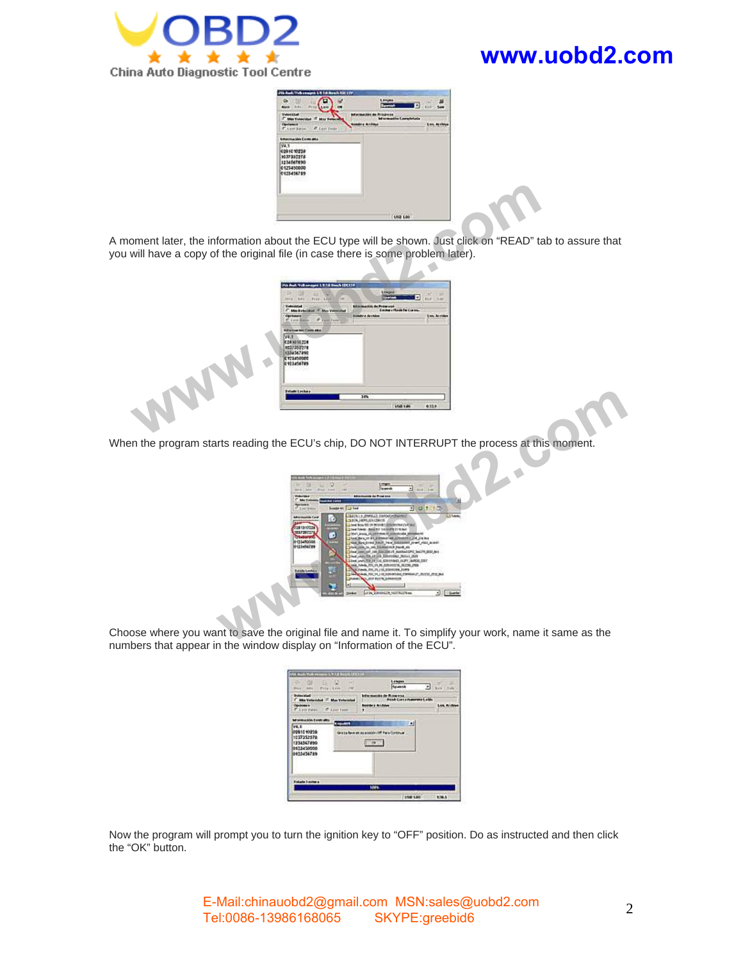

| <b>Vehicles</b><br>IT, this Veterial                                                                   | <b>Principales</b><br><b>Informati</b><br>чc. |
|--------------------------------------------------------------------------------------------------------|-----------------------------------------------|
| Opdanie<br>F. Len Belle C.P. Len Your                                                                  |                                               |
| Vitation bld Contratts                                                                                 |                                               |
| V4.1<br><b>IC2810 10228</b><br><b>M201151114</b><br>1204067890<br>0121450000<br>0123454789<br>100. UDO |                                               |
|                                                                                                        | 1,688,109                                     |

| 168 149                                                                                                                                                                                                                                                                                                   |
|-----------------------------------------------------------------------------------------------------------------------------------------------------------------------------------------------------------------------------------------------------------------------------------------------------------|
| oment later, the information about the ECU type will be shown. Just click on "READ" tab to assure that<br>will have a copy of the original file (in case there is some problem later).                                                                                                                    |
| <b>CLUMBACKINGS</b><br>Fr unk<br>stich die Pinternant<br>1 meters Phasis für Car<br><b>SALE OF BAY TWO</b><br>Louis Austria<br>as Canita all<br>W.1<br>1261010238<br>1027212278<br>1234547498<br>1,1410000<br>123456741<br>UM<br>vitade Leshau<br>10 <sub>k</sub><br>150199<br>0.53.9                     |
| in the program starts reading the ECU's chip, DO NOT INTERRUPT the process at this moment.                                                                                                                                                                                                                |
| <b>Form</b><br>$2 - 10$<br><b>Bally and this</b><br>30115<br><b>Guage at 113 for</b><br><b>CARDINA</b><br>2006.0009.0312919<br><b>L'été du mission d'Art</b><br>1941-08<br>attentes<br>paratra<br>c<br><b>CLAIR DOGS</b><br>121494789<br>N.H.TH. EN-HAID, H.FY. IMPOUTER<br><b>RULTLI SLIGHHOOL 200'S</b> |
| ose where you want to save the original file and name it. To simplify your work, name it same as the<br>bers that appear in the window display on "Information of the ECU".                                                                                                                               |
| <b>TARGE</b><br><b>La Super</b><br>Tapanyak<br>$2 - 100$<br>t de Program.<br>Australian<br>144.46<br>킈<br>0201010020<br>Grissa favo en au postolo Off Fara Continuar<br>1234567890<br>担保法<br>0123450000<br>0123456719<br><b><i><u>Dokalin I autor a</u></i></b><br>110 1.00<br>EM <sub>3</sub>            |
| the program will prompt you to turn the ignition key to "OFF" position. Do as instructed and then click<br>OK" button.                                                                                                                                                                                    |
| E-Mail:chinauobd2@gmail.com MSN:sales@uobd2.com<br>Tel:0086-13986168065<br>SKYPE:greebid6                                                                                                                                                                                                                 |

| <b>REAL POST FROM</b><br><b>HARL</b> |                        |                   |                                                                              |                                     | $    -$                                                  |           |  |
|--------------------------------------|------------------------|-------------------|------------------------------------------------------------------------------|-------------------------------------|----------------------------------------------------------|-----------|--|
| Mar Yal                              | <b>CARD COMMON</b>     | <b>Literature</b> | <b>BATHER</b>                                                                |                                     |                                                          |           |  |
| Said Bally                           | <b>Support 12 Text</b> |                   |                                                                              |                                     |                                                          |           |  |
| <b><i><u>antique Caste</u></i></b>   |                        |                   | SALE LE PARELS ENFORCED<br>3.00% 24095 824120410                             |                                     |                                                          |           |  |
| 1003                                 |                        |                   | bed fuest - Box hit indiffers in their                                       | 10 TO SHIRT GOVERNMENT FOR THE REAL |                                                          |           |  |
| <b>DELEGATION</b>                    | G                      |                   | 10041 Avenue All Editorium (1) School and Addition of                        |                                     | Haal Back, on Bit Joseph and Joseph In L. J.W. Jim Back  |           |  |
|                                      |                        |                   | The River Centralist on, or deal of                                          |                                     | has han jured limit, here touchest prest, risk accent    |           |  |
| v.                                   |                        |                   |                                                                              |                                     | HA SEE FLAT DESIGNED IN HOUSE IN 1993 AND THE            |           |  |
|                                      |                        |                   | FOR, LEDST, LADINGR, FEEDLAND, MICH.                                         |                                     | Time Lewi 701 19 114 420-94643 JLPY JMCR 237             |           |  |
| <b>Bataille Louises</b>              |                        |                   | Ink Awds, RN, FL, RL SCRATTER, MATH, JPDS<br>A PAGE RELYCE STATE SOURCE SUPP |                                     |                                                          |           |  |
|                                      |                        |                   | <b>MAIL ALL AND BUTTE SCREENING</b>                                          |                                     | <b>SAMPAN, ASCILLA ELEMENTARY TRANSPLIT_PLYCE_BYC.BV</b> |           |  |
|                                      |                        |                   |                                                                              |                                     |                                                          |           |  |
|                                      |                        |                   | LEW KREINER MATEURS                                                          |                                     |                                                          | -1 Starte |  |

| <b>Tulian Idad</b><br>C. May Veterining 17 May Veterining<br>Opdobe t<br>C. Leve Puesa :                            | <b>IT A per teen</b>                | before manufacturer Person white<br>ush Cartertamente Leida | Lon. Archit |
|---------------------------------------------------------------------------------------------------------------------|-------------------------------------|-------------------------------------------------------------|-------------|
| <b>Marmachin Coldvalls</b><br><b>VEE</b><br>0201010228<br><b>HESTERS!</b><br>1234567890<br>0123450000<br>0123454719 | <b>Repubblic</b><br><b>WARRANTS</b> | o<br>Grass been as as postoly Off Para Controlly.<br>日の三    |             |
| <b><i><u>Details I move a</u></i></b>                                                                               |                                     | <b>First</b>                                                |             |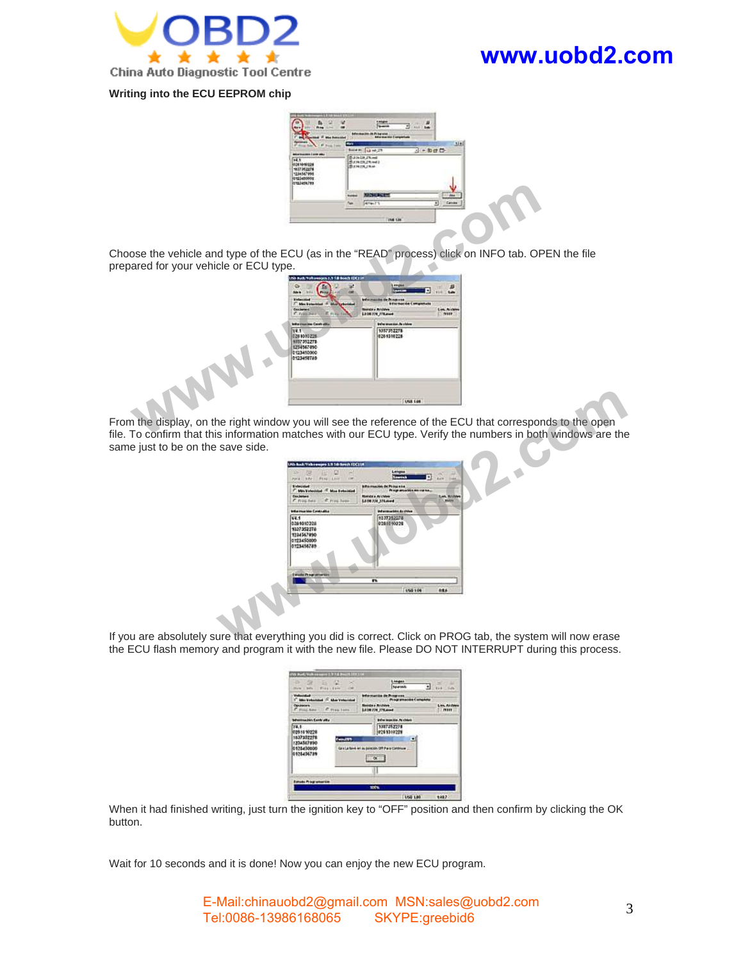

**Writing into the ECU EEPROM chip**



Choose the vehicle and type of the ECU (as in the "READ" process) click on INFO tab. OPEN the file prepared for your vehicle or ECU type.



From the display, on the right window you will see the reference of the ECU that corresponds to the open file. To confirm that this information matches with our ECU type. Verify the numbers in both windows are the same just to be on the save side.



If you are absolutely sure that everything you did is correct. Click on PROG tab, the system will now erase the ECU flash memory and program it with the new file. Please DO NOT INTERRUPT during this process.

| Marw.<br><b>Seattle</b><br>٠                                               | Widow Is of army |                                                                                         | <b>Sparski</b>                  | ⋣<br>End., Suite |
|----------------------------------------------------------------------------|------------------|-----------------------------------------------------------------------------------------|---------------------------------|------------------|
| Velocidad<br>C Ministranial C Mar Velocidad                                |                  | <b>Information de Programs</b>                                                          | Projet Magnitist Ca             |                  |
| Opponent<br>C Mill has 1<br>IT THE THIS                                    |                  | die e Andrées<br>LEDS FOR STRUGHT                                                       | Line, Andhers<br>$\blacksquare$ |                  |
| Informazion Contratta                                                      |                  |                                                                                         | <b>brimmonton Archive</b>       |                  |
| VI.L<br>0281010228<br>1837152278<br>1234527890<br>0121450000<br>0121406781 | <b>Telescopy</b> | 1207212278<br>0241010228<br>Graduations en au politician Off Para-Cantinum<br>$-\infty$ | $\blacksquare$                  |                  |
| <b>Estate Fragressment</b>                                                 |                  | <b>SIGN</b>                                                                             |                                 |                  |
|                                                                            |                  |                                                                                         | 1,549,1,00                      | 1487             |

When it had finished writing, just turn the ignition key to "OFF" position and then confirm by clicking the OK button.

Wait for 10 seconds and it is done! Now you can enjoy the new ECU program.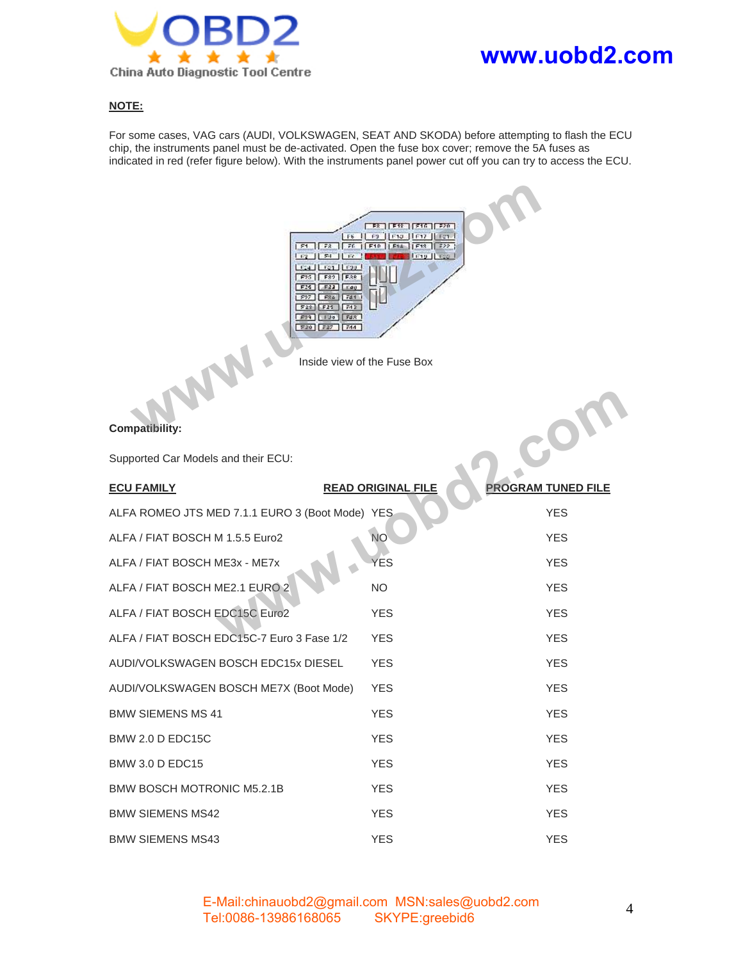

### **NOTE:**

For some cases, VAG cars (AUDI, VOLKSWAGEN, SEAT AND SKODA) before attempting to flash the ECU chip, the instruments panel must be de-activated. Open the fuse box cover; remove the 5A fuses as indicated in red (refer figure below). With the instruments panel power cut off you can try to access the ECU.



# Compatibility:

| $F = 24$<br>$-54$<br>$E24 + E21$<br>F25   F82   F88<br>F22  <br>1.40<br>Fd1<br>F34<br>F25<br>742<br>FdX<br>F29<br>Fig. 2<br>F20 F27 F44 | $F(X)$ $F(X)$ $F(X)$<br>$F6$   $F9$   $F13$   $F17$   $F27$<br> F10 <br>222<br><b>JF14</b><br><b>IF18</b><br>Inside view of the Fuse Box |                           |
|-----------------------------------------------------------------------------------------------------------------------------------------|------------------------------------------------------------------------------------------------------------------------------------------|---------------------------|
| <b>Compatibility:</b>                                                                                                                   |                                                                                                                                          |                           |
| Supported Car Models and their ECU:                                                                                                     |                                                                                                                                          |                           |
| <b>ECU FAMILY</b>                                                                                                                       | <b>READ ORIGINAL FILE</b>                                                                                                                | <b>PROGRAM TUNED FILE</b> |
| ALFA ROMEO JTS MED 7.1.1 EURO 3 (Boot Mode) YES                                                                                         |                                                                                                                                          | <b>YES</b>                |
| ALFA / FIAT BOSCH M 1.5.5 Euro2                                                                                                         | <b>NO</b>                                                                                                                                | <b>YES</b>                |
| ALFA / FIAT BOSCH ME3x - ME7x                                                                                                           | <b>YES</b>                                                                                                                               | <b>YES</b>                |
| ALFA / FIAT BOSCH ME2.1 EURO 2                                                                                                          | <b>NO</b>                                                                                                                                | <b>YES</b>                |
| ALFA / FIAT BOSCH EDC15C Euro2                                                                                                          | <b>YES</b>                                                                                                                               | <b>YES</b>                |
| ALFA / FIAT BOSCH EDC15C-7 Euro 3 Fase 1/2                                                                                              | <b>YES</b>                                                                                                                               | <b>YES</b>                |
| AUDI/VOLKSWAGEN BOSCH EDC15x DIESEL                                                                                                     | <b>YES</b>                                                                                                                               | <b>YES</b>                |
| AUDI/VOLKSWAGEN BOSCH ME7X (Boot Mode)                                                                                                  | <b>YES</b>                                                                                                                               | <b>YES</b>                |
| <b>BMW SIEMENS MS 41</b>                                                                                                                | <b>YES</b>                                                                                                                               | <b>YES</b>                |
| <b>BMW 2.0 D EDC15C</b>                                                                                                                 | <b>YES</b>                                                                                                                               | <b>YES</b>                |
| <b>BMW 3.0 D EDC15</b>                                                                                                                  | <b>YES</b>                                                                                                                               | <b>YES</b>                |
| <b>BMW BOSCH MOTRONIC M5.2.1B</b>                                                                                                       | <b>YES</b>                                                                                                                               | <b>YES</b>                |
| <b>BMW SIEMENS MS42</b>                                                                                                                 | <b>YES</b>                                                                                                                               | <b>YES</b>                |
| <b>BMW SIEMENS MS43</b>                                                                                                                 | <b>YES</b>                                                                                                                               | <b>YES</b>                |
| E-Mail:chinauobd2@gmail.com MSN:sales@uobd2.com<br>Tel:0086-13986168065                                                                 | SKYPE:greebid6                                                                                                                           | 4                         |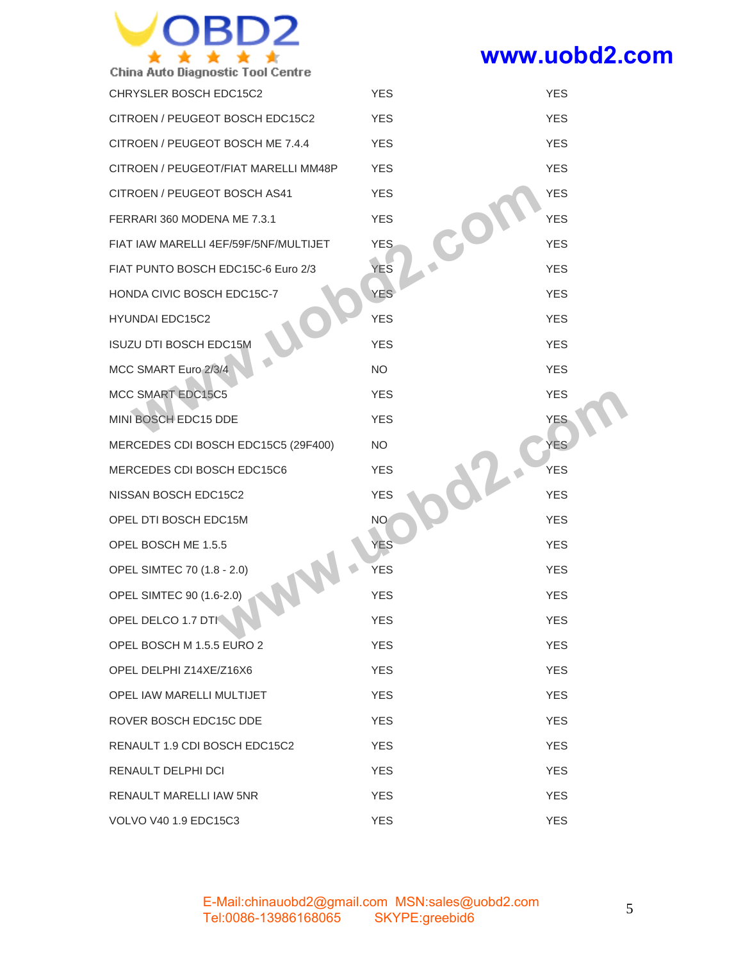

| CHRYSLER BOSCH EDC15C2        |                                       | <b>YES</b>                                                        | <b>YES</b> |
|-------------------------------|---------------------------------------|-------------------------------------------------------------------|------------|
|                               | CITROEN / PEUGEOT BOSCH EDC15C2       | <b>YES</b>                                                        | <b>YES</b> |
|                               | CITROEN / PEUGEOT BOSCH ME 7.4.4      | <b>YES</b>                                                        | <b>YES</b> |
|                               | CITROEN / PEUGEOT/FIAT MARELLI MM48P  | <b>YES</b>                                                        | <b>YES</b> |
| CITROEN / PEUGEOT BOSCH AS41  |                                       | <b>YES</b>                                                        | <b>YES</b> |
| FERRARI 360 MODENA ME 7.3.1   |                                       | <b>YES</b>                                                        | <b>YES</b> |
|                               | FIAT IAW MARELLI 4EF/59F/5NF/MULTIJET | <b>YES</b>                                                        | <b>YES</b> |
|                               | FIAT PUNTO BOSCH EDC15C-6 Euro 2/3    | <b>YES</b>                                                        | <b>YES</b> |
| HONDA CIVIC BOSCH EDC15C-7    |                                       | <b>YES</b>                                                        | <b>YES</b> |
| <b>HYUNDAI EDC15C2</b>        |                                       | <b>YES</b>                                                        | <b>YES</b> |
| ISUZU DTI BOSCH EDC15M        |                                       | <b>YES</b>                                                        | <b>YES</b> |
| MCC SMART Euro 2/3/4          |                                       | NO                                                                | <b>YES</b> |
| MCC SMART EDC15C5             |                                       | <b>YES</b>                                                        | <b>YES</b> |
| MINI BOSCH EDC15 DDE          |                                       | <b>YES</b>                                                        | <b>YES</b> |
|                               | MERCEDES CDI BOSCH EDC15C5 (29F400)   | NO.                                                               | <b>YES</b> |
| MERCEDES CDI BOSCH EDC15C6    |                                       | <b>YES</b>                                                        | <b>YES</b> |
| NISSAN BOSCH EDC15C2          |                                       | <b>YES</b>                                                        | <b>YES</b> |
| OPEL DTI BOSCH EDC15M         |                                       | <b>NO</b>                                                         | <b>YES</b> |
| OPEL BOSCH ME 1.5.5           |                                       | <b>YES</b>                                                        | <b>YES</b> |
| OPEL SIMTEC 70 (1.8 - 2.0)    |                                       | <b>YES</b>                                                        | <b>YES</b> |
| OPEL SIMTEC 90 (1.6-2.0)      |                                       | <b>YES</b>                                                        | <b>YES</b> |
| OPEL DELCO 1.7 DTI            |                                       | <b>YES</b>                                                        | <b>YES</b> |
| OPEL BOSCH M 1.5.5 EURO 2     |                                       | <b>YES</b>                                                        | <b>YES</b> |
| OPEL DELPHI Z14XE/Z16X6       |                                       | <b>YES</b>                                                        | <b>YES</b> |
| OPEL IAW MARELLI MULTIJET     |                                       | <b>YES</b>                                                        | <b>YES</b> |
| ROVER BOSCH EDC15C DDE        |                                       | <b>YES</b>                                                        | <b>YES</b> |
| RENAULT 1.9 CDI BOSCH EDC15C2 |                                       | <b>YES</b>                                                        | <b>YES</b> |
| RENAULT DELPHI DCI            |                                       | <b>YES</b>                                                        | <b>YES</b> |
| RENAULT MARELLI IAW 5NR       |                                       | <b>YES</b>                                                        | <b>YES</b> |
| VOLVO V40 1.9 EDC15C3         |                                       | <b>YES</b>                                                        | <b>YES</b> |
|                               |                                       |                                                                   |            |
|                               | Tel:0086-13986168065                  | E-Mail:chinauobd2@gmail.com MSN:sales@uobd2.com<br>SKYPE:greebid6 |            |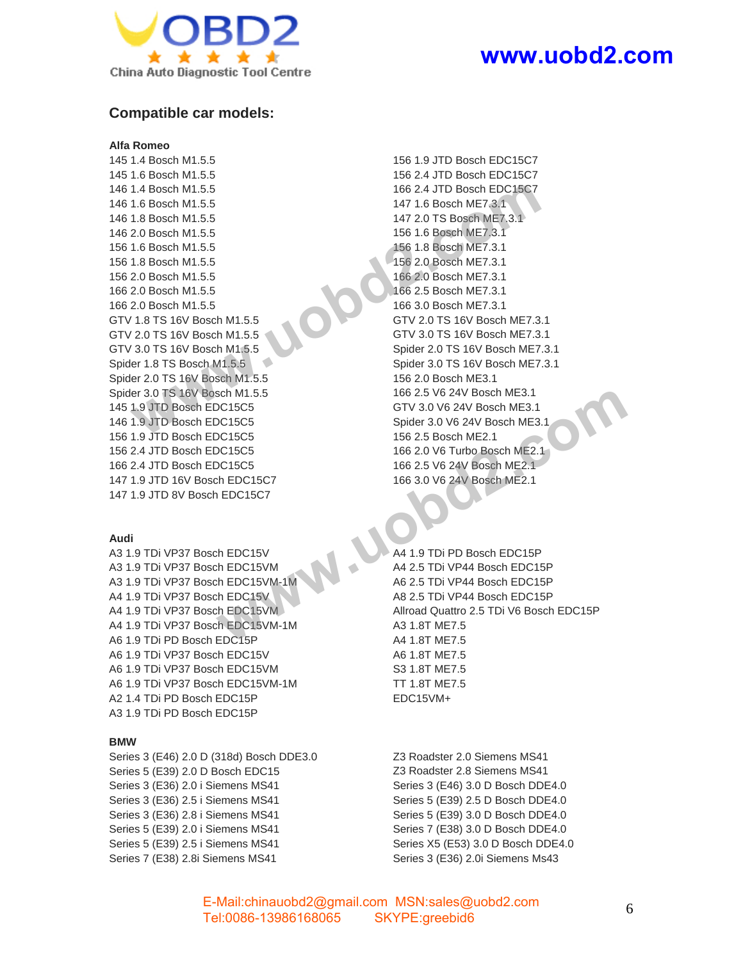

### **Compatible car models:**

### **Alfa Romeo**

145 1.4 Bosch M1.5.5 145 1.6 Bosch M1.5.5 146 1.4 Bosch M1.5.5 146 1.6 Bosch M1.5.5 146 1.8 Bosch M1.5.5 146 2.0 Bosch M1.5.5 156 1.6 Bosch M1.5.5 156 1.8 Bosch M1.5.5 156 2.0 Bosch M1.5.5 166 2.0 Bosch M1.5.5 166 2.0 Bosch M1.5.5 GTV 1.8 TS 16V Bosch M1.5.5 GTV 2.0 TS 16V Bosch M1.5.5 GTV 3.0 TS 16V Bosch M1.5.5 Spider 1.8 TS Bosch M1.5.5 Spider 2.0 TS 16V Bosch M1.5.5 Spider 3.0 TS 16V Bosch M1.5.5 145 1.9 JTD Bosch EDC15C5 146 1.9 JTD Bosch EDC15C5 156 1.9 JTD Bosch EDC15C5 156 2.4 JTD Bosch EDC15C5 166 2.4 JTD Bosch EDC15C5 147 1.9 JTD 16V Bosch EDC15C7 147 1.9 JTD 8V Bosch EDC15C7

### **Audi**

A3 1.9 TDi VP37 Bosch EDC15V A3 1.9 TDi VP37 Bosch EDC15VM A3 1.9 TDi VP37 Bosch EDC15VM-1M A4 1.9 TDi VP37 Bosch EDC15V A4 1.9 TDi VP37 Bosch EDC15VM A4 1.9 TDi VP37 Bosch EDC15VM-1M A6 1.9 TDi PD Bosch EDC15P A6 1.9 TDi VP37 Bosch EDC15V A6 1.9 TDi VP37 Bosch EDC15VM A6 1.9 TDi VP37 Bosch EDC15VM-1M A2 1.4 TDi PD Bosch EDC15P A3 1.9 TDi PD Bosch EDC15P

### **BMW**

Series 3 (E46) 2.0 D (318d) Bosch DDE3.0 Series 5 (E39) 2.0 D Bosch EDC15 Series 3 (E36) 2.0 i Siemens MS41 Series 3 (E36) 2.5 i Siemens MS41 Series 3 (E36) 2.8 i Siemens MS41 Series 5 (E39) 2.0 i Siemens MS41 Series 5 (E39) 2.5 i Siemens MS41 Series 7 (E38) 2.8i Siemens MS41

156 1.9 JTD Bosch EDC15C7 156 2.4 JTD Bosch EDC15C7 166 2.4 JTD Bosch EDC15C7 147 1.6 Bosch ME7.3.1 147 2.0 TS Bosch ME7.3.1 156 1.6 Bosch ME7.3.1 156 1.8 Bosch ME7.3.1 156 2.0 Bosch ME7.3.1 166 2.0 Bosch ME7.3.1 166 2.5 Bosch ME7.3.1 166 3.0 Bosch ME7.3.1 GTV 2.0 TS 16V Bosch ME7.3.1 GTV 3.0 TS 16V Bosch ME7.3.1 Spider 2.0 TS 16V Bosch ME7.3.1 Spider 3.0 TS 16V Bosch ME7.3.1 156 2.0 Bosch ME3.1 166 2.5 V6 24V Bosch ME3.1 GTV 3.0 V6 24V Bosch ME3.1 Spider 3.0 V6 24V Bosch ME3.1 156 2.5 Bosch ME2.1 166 2.0 V6 Turbo Bosch ME2.1 166 2.5 V6 24V Bosch ME2.1 166 3.0 V6 24V Bosch ME2.1 14 Streebits and the specifical state of the specifical state of the specifical state of the specifical state of the specifical state of the specifical state of the specifical state of the specifical state of the specifica

A4 1.9 TDi PD Bosch EDC15P A4 2.5 TDi VP44 Bosch EDC15P A6 2.5 TDi VP44 Bosch EDC15P A8 2.5 TDi VP44 Bosch EDC15P Allroad Quattro 2.5 TDi V6 Bosch EDC15P A3 1.8T ME7.5 A4 1.8T ME7.5 A6 1.8T ME7.5 S3 1.8T ME7.5 TT 1.8T ME7.5 EDC15VM+

Z3 Roadster 2.0 Siemens MS41 Z3 Roadster 2.8 Siemens MS41 Series 3 (E46) 3.0 D Bosch DDE4.0 Series 5 (E39) 2.5 D Bosch DDE4.0 Series 5 (E39) 3.0 D Bosch DDE4.0 Series 7 (E38) 3.0 D Bosch DDE4.0 Series X5 (E53) 3.0 D Bosch DDE4.0 Series 3 (E36) 2.0i Siemens Ms43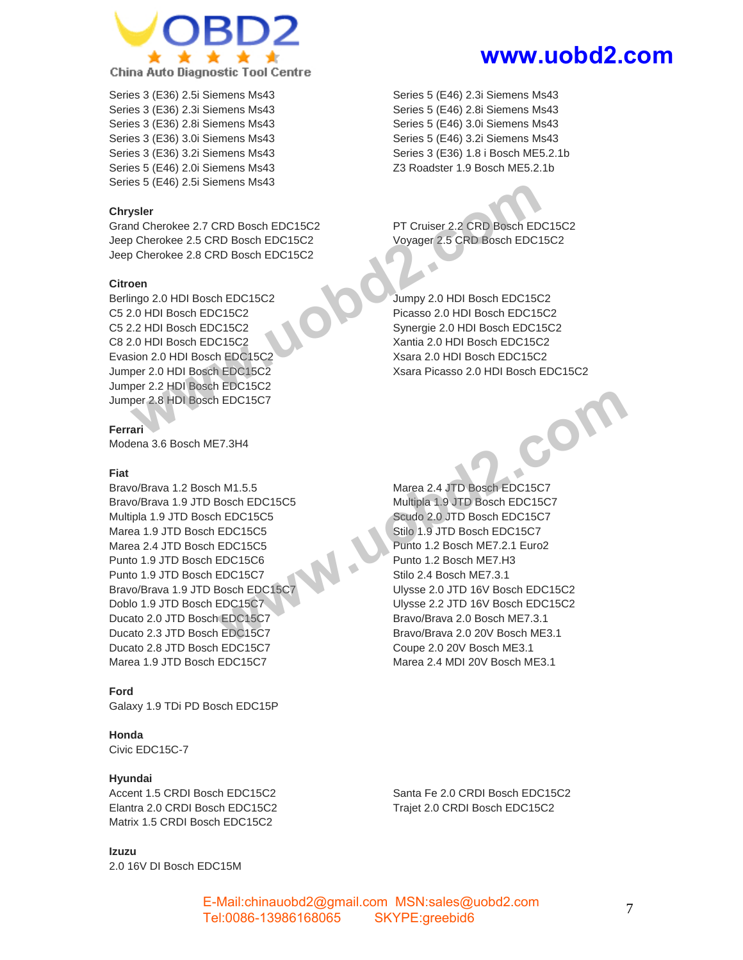

Series 3 (E36) 2.5i Siemens Ms43 Series 3 (E36) 2.3i Siemens Ms43 Series 3 (E36) 2.8i Siemens Ms43 Series 3 (E36) 3.0i Siemens Ms43 Series 3 (E36) 3.2i Siemens Ms43 Series 5 (E46) 2.0i Siemens Ms43 Series 5 (E46) 2.5i Siemens Ms43

### **Chrysler**

Grand Cherokee 2.7 CRD Bosch EDC15C2 Jeep Cherokee 2.5 CRD Bosch EDC15C2 Jeep Cherokee 2.8 CRD Bosch EDC15C2

### **Citroen**

Berlingo 2.0 HDI Bosch EDC15C2 C5 2.0 HDI Bosch EDC15C2 C5 2.2 HDI Bosch EDC15C2 C8 2.0 HDI Bosch EDC15C2 Evasion 2.0 HDI Bosch EDC15C2 Jumper 2.0 HDI Bosch EDC15C2 Jumper 2.2 HDI Bosch EDC15C2 Jumper 2.8 HDI Bosch EDC15C7

**Ferrari**

Modena 3.6 Bosch ME7.3H4

### **Fiat**

Bravo/Brava 1.2 Bosch M1.5.5 Bravo/Brava 1.9 JTD Bosch EDC15C5 Multipla 1.9 JTD Bosch EDC15C5 Marea 1.9 JTD Bosch EDC15C5 Marea 2.4 JTD Bosch EDC15C5 Punto 1.9 JTD Bosch EDC15C6 Punto 1.9 JTD Bosch EDC15C7 Bravo/Brava 1.9 JTD Bosch EDC15C7 Doblo 1.9 JTD Bosch EDC15C7 Ducato 2.0 JTD Bosch EDC15C7 Ducato 2.3 JTD Bosch EDC15C7 Ducato 2.8 JTD Bosch EDC15C7 Marea 1.9 JTD Bosch EDC15C7

**Ford** Galaxy 1.9 TDi PD Bosch EDC15P

**Honda** Civic EDC15C-7

**Hyundai** Accent 1.5 CRDI Bosch EDC15C2 Elantra 2.0 CRDI Bosch EDC15C2 Matrix 1.5 CRDI Bosch EDC15C2

**Izuzu**

2.0 16V DI Bosch EDC15M

# **www.uobd2.com**

Series 5 (E46) 2.3i Siemens Ms43 Series 5 (E46) 2.8i Siemens Ms43 Series 5 (E46) 3.0i Siemens Ms43 Series 5 (E46) 3.2i Siemens Ms43 Series 3 (E36) 1.8 i Bosch ME5.2.1b Z3 Roadster 1.9 Bosch ME5.2.1b

PT Cruiser 2.2 CRD Bosch EDC15C2 Voyager 2.5 CRD Bosch EDC15C2

Jumpy 2.0 HDI Bosch EDC15C2 Picasso 2.0 HDI Bosch EDC15C2 Synergie 2.0 HDI Bosch EDC15C2 Xantia 2.0 HDI Bosch EDC15C2 Xsara 2.0 HDI Bosch EDC15C2 Xsara Picasso 2.0 HDI Bosch EDC15C2

Marea 2.4 JTD Bosch EDC15C7 Multipla 1.9 JTD Bosch EDC15C7 Scudo 2.0 JTD Bosch EDC15C7 Stilo 1.9 JTD Bosch EDC15C7 Punto 1.2 Bosch ME7.2.1 Euro2 Punto 1.2 Bosch ME7.H3 Stilo 2.4 Bosch ME7.3.1 Ulysse 2.0 JTD 16V Bosch EDC15C2 Ulysse 2.2 JTD 16V Bosch EDC15C2 Bravo/Brava 2.0 Bosch ME7.3.1 Bravo/Brava 2.0 20V Bosch ME3.1 Coupe 2.0 20V Bosch ME3.1 Marea 2.4 MDI 20V Bosch ME3.1 3 of Prices 2 2 GRD Beach EDC15C2<br>
SCRIP (And CRIP Beach EDC15C2<br>
Cherokee 2.8 CRD Beach EDC15C2<br>
Cherokee 2.8 CRD Beach EDC15C2<br>
2.2 LAD Beach EDC15C2<br>
2.2 LAD Beach EDC15C2<br>
2.2 LAD Beach EDC15C2<br>
2.2 LAD Beach EDC15C2

Santa Fe 2.0 CRDI Bosch EDC15C2 Trajet 2.0 CRDI Bosch EDC15C2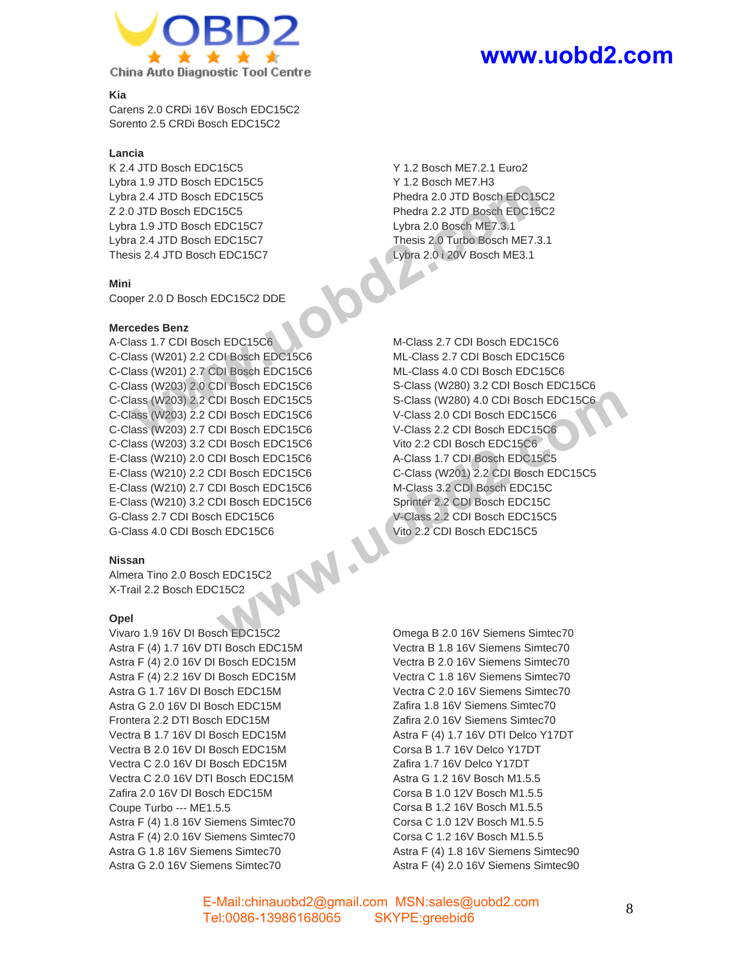

### **Kia**

Carens 2.0 CRDi 16V Bosch EDC15C2 Sorento 2.5 CRDi Bosch EDC15C2

### **Lancia**

K 2.4 JTD Bosch EDC15C5 Lybra 1.9 JTD Bosch EDC15C5 Lybra 2.4 JTD Bosch EDC15C5 Z 2.0 JTD Bosch EDC15C5 Lybra 1.9 JTD Bosch EDC15C7 Lybra 2.4 JTD Bosch EDC15C7 Thesis 2.4 JTD Bosch EDC15C7

### **Mini**

Cooper 2.0 D Bosch EDC15C2 DDE

### **Mercedes Benz**

A-Class 1.7 CDI Bosch EDC15C6 C-Class (W201) 2.2 CDI Bosch EDC15C6 C-Class (W201) 2.7 CDI Bosch EDC15C6 C-Class (W203) 2.0 CDI Bosch EDC15C6 C-Class (W203) 2.2 CDI Bosch EDC15C5 C-Class (W203) 2.2 CDI Bosch EDC15C6 C-Class (W203) 2.7 CDI Bosch EDC15C6 C-Class (W203) 3.2 CDI Bosch EDC15C6 E-Class (W210) 2.0 CDI Bosch EDC15C6 E-Class (W210) 2.2 CDI Bosch EDC15C6 E-Class (W210) 2.7 CDI Bosch EDC15C6 E-Class (W210) 3.2 CDI Bosch EDC15C6 G-Class 2.7 CDI Bosch EDC15C6 G-Class 4.0 CDI Bosch EDC15C6

### **Nissan**

Almera Tino 2.0 Bosch EDC15C2 X-Trail 2.2 Bosch EDC15C2

### **Opel**

Vivaro 1.9 16V DI Bosch EDC15C2 Astra F (4) 1.7 16V DTI Bosch EDC15M Astra F (4) 2.0 16V DI Bosch EDC15M Astra F (4) 2.2 16V DI Bosch EDC15M Astra G 1.7 16V DI Bosch EDC15M Astra G 2.0 16V DI Bosch EDC15M Frontera 2.2 DTI Bosch EDC15M Vectra B 1.7 16V DI Bosch EDC15M Vectra B 2.0 16V DI Bosch EDC15M Vectra C 2.0 16V DI Bosch EDC15M Vectra C 2.0 16V DTI Bosch EDC15M Zafira 2.0 16V DI Bosch EDC15M Coupe Turbo --- ME1.5.5 Astra F (4) 1.8 16V Siemens Simtec70 Astra F (4) 2.0 16V Siemens Simtec70 Astra G 1.8 16V Siemens Simtec70 Astra G 2.0 16V Siemens Simtec70

Y 1.2 Bosch ME7.2.1 Euro2 Y 1.2 Bosch ME7.H3 Phedra 2.0 JTD Bosch EDC15C2 Phedra 2.2 JTD Bosch EDC15C2 Lybra 2.0 Bosch ME7.3.1 Thesis 2.0 Turbo Bosch ME7.3.1 Lybra 2.0 i 20V Bosch ME3.1

M-Class 2.7 CDI Bosch EDC15C6 ML-Class 2.7 CDI Bosch EDC15C6 ML-Class 4.0 CDI Bosch EDC15C6 S-Class (W280) 3.2 CDI Bosch EDC15C6 S-Class (W280) 4.0 CDI Bosch EDC15C6 V-Class 2.0 CDI Bosch EDC15C6 V-Class 2.2 CDI Bosch EDC15C6 Vito 2.2 CDI Bosch EDC15C6 A-Class 1.7 CDI Bosch EDC15C5 C-Class (W201) 2.2 CDI Bosch EDC15C5 M-Class 3.2 CDI Bosch EDC15C Sprinter 2.2 CDI Bosch EDC15C V-Class 2.2 CDI Bosch EDC15C5 Vito 2.2 CDI Bosch EDC15C5

Omega B 2.0 16V Siemens Simtec70 Vectra B 1.8 16V Siemens Simtec70 Vectra B 2.0 16V Siemens Simtec70 Vectra C 1.8 16V Siemens Simtec70 Vectra C 2.0 16V Siemens Simtec70 Zafira 1.8 16V Siemens Simtec70 Zafira 2.0 16V Siemens Simtec70 Astra F (4) 1.7 16V DTI Delco Y17DT Corsa B 1.7 16V Delco Y17DT Zafira 1.7 16V Delco Y17DT Astra G 1.2 16V Bosch M1.5.5 Corsa B 1.0 12V Bosch M1.5.5 Corsa B 1.2 16V Bosch M1.5.5 Corsa C 1.0 12V Bosch M1.5.5 Corsa C 1.2 16V Bosch M1.5.5 Astra F (4) 1.8 16V Siemens Simtec90 Astra F (4) 2.0 16V Siemens Simtec90 The Theodor Bective Contents of the Contents of the Contents of the Contents of the Contents of the Contents of the Contents of the Contents of the Contents of the Contents of the Contents of the Contents of the Contents

# E-Mail:chinauobd2@gmail.com MSN:sales@uobd2.com

# **www.uobd2.com**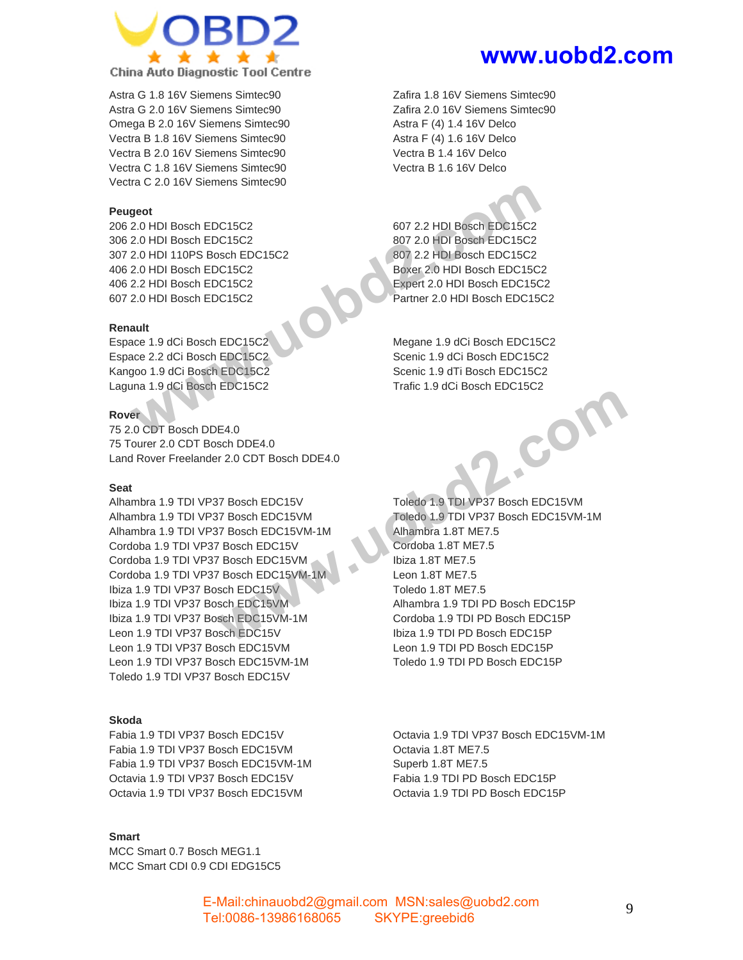

Astra G 1.8 16V Siemens Simtec90 Astra G 2.0 16V Siemens Simtec90 Omega B 2.0 16V Siemens Simtec90 Vectra B 1.8 16V Siemens Simtec90 Vectra B 2.0 16V Siemens Simtec90 Vectra C 1.8 16V Siemens Simtec90 Vectra C 2.0 16V Siemens Simtec90

### **Peugeot**

206 2.0 HDI Bosch EDC15C2 306 2.0 HDI Bosch EDC15C2 307 2.0 HDI 110PS Bosch EDC15C2 406 2.0 HDI Bosch EDC15C2 406 2.2 HDI Bosch EDC15C2 607 2.0 HDI Bosch EDC15C2

### **Renault**

Espace 1.9 dCi Bosch EDC15C2 Espace 2.2 dCi Bosch EDC15C2 Kangoo 1.9 dCi Bosch EDC15C2 Laguna 1.9 dCi Bosch EDC15C2

### **Rover**

75 2.0 CDT Bosch DDE4.0 75 Tourer 2.0 CDT Bosch DDE4.0 Land Rover Freelander 2.0 CDT Bosch DDE4.0

### **Seat**

Alhambra 1.9 TDI VP37 Bosch EDC15V Alhambra 1.9 TDI VP37 Bosch EDC15VM Alhambra 1.9 TDI VP37 Bosch EDC15VM-1M Cordoba 1.9 TDI VP37 Bosch EDC15V Cordoba 1.9 TDI VP37 Bosch EDC15VM Cordoba 1.9 TDI VP37 Bosch EDC15VM-1M Ibiza 1.9 TDI VP37 Bosch EDC15V Ibiza 1.9 TDI VP37 Bosch EDC15VM Ibiza 1.9 TDI VP37 Bosch EDC15VM-1M Leon 1.9 TDI VP37 Bosch EDC15V Leon 1.9 TDI VP37 Bosch EDC15VM Leon 1.9 TDI VP37 Bosch EDC15VM-1M Toledo 1.9 TDI VP37 Bosch EDC15V Tel:0086-1620562<br>
1892 20: HD Boach EDC15C2<br>
20: HD Boach EDC15C2<br>
20: HD Boach EDC15C2<br>
20: HD Boach EDC15C2<br>
20: HD Boach EDC15C2<br>
20: HD Boach EDC15C2<br>
20: HD Boach EDC15C2<br>
20: HD Boach EDC15C2<br>
20: HD Boach EDC15C2<br>
2

### **Skoda**

Fabia 1.9 TDI VP37 Bosch EDC15V Fabia 1.9 TDI VP37 Bosch EDC15VM Fabia 1.9 TDI VP37 Bosch EDC15VM-1M Octavia 1.9 TDI VP37 Bosch EDC15V Octavia 1.9 TDI VP37 Bosch EDC15VM

### **Smart**

MCC Smart 0.7 Bosch MEG1.1 MCC Smart CDI 0.9 CDI EDG15C5

# **www.uobd2.com**

Zafira 1.8 16V Siemens Simtec90 Zafira 2.0 16V Siemens Simtec90 Astra F (4) 1.4 16V Delco Astra F (4) 1.6 16V Delco Vectra B 1.4 16V Delco Vectra B 1.6 16V Delco

607 2.2 HDI Bosch EDC15C2 807 2.0 HDI Bosch EDC15C2 807 2.2 HDI Bosch EDC15C2 Boxer 2.0 HDI Bosch EDC15C2 Expert 2.0 HDI Bosch EDC15C2 Partner 2.0 HDI Bosch EDC15C2

Megane 1.9 dCi Bosch EDC15C2 Scenic 1.9 dCi Bosch EDC15C2 Scenic 1.9 dTi Bosch EDC15C2 Trafic 1.9 dCi Bosch EDC15C2

Toledo 1.9 TDI VP37 Bosch EDC15VM Toledo 1.9 TDI VP37 Bosch EDC15VM-1M Alhambra 1.8T ME7.5 Cordoba 1.8T ME7.5 Ibiza 1.8T ME7.5 Leon 1.8T ME7.5 Toledo 1.8T ME7.5 Alhambra 1.9 TDI PD Bosch EDC15P Cordoba 1.9 TDI PD Bosch EDC15P Ibiza 1.9 TDI PD Bosch EDC15P Leon 1.9 TDI PD Bosch EDC15P Toledo 1.9 TDI PD Bosch EDC15P

Octavia 1.9 TDI VP37 Bosch EDC15VM-1M Octavia 1.8T ME7.5 Superb 1.8T ME7.5 Fabia 1.9 TDI PD Bosch EDC15P Octavia 1.9 TDI PD Bosch EDC15P